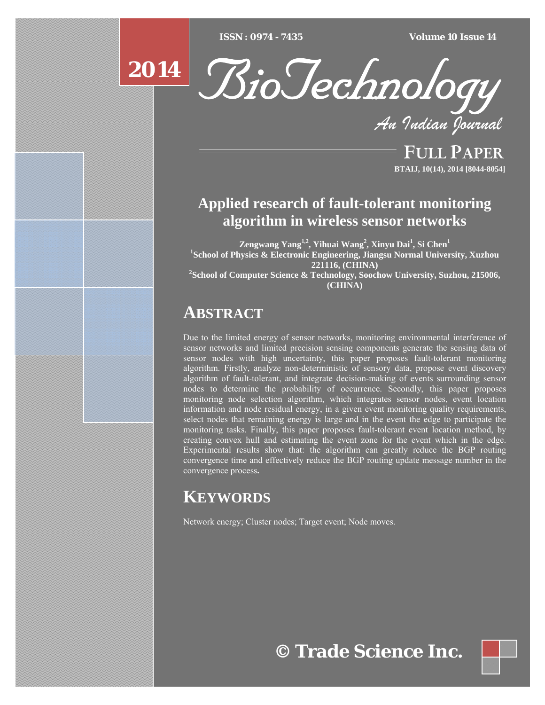*ISSN* : 0974 - 7435 *Type text Type text Type text Type text Type text ISSN : 0974 - 7435 Volume 10 Issue 14*



BioTechnology

*An Indian Journal*

FULL PAPER **BTAIJ, 10(14), 2014 [8044-8054]**

# **Applied research of fault-tolerant monitoring algorithm in wireless sensor networks**

**Zengwang Yang1,2, Yihuai Wang2 , Xinyu Dai1 , Si Chen1 1 School of Physics & Electronic Engineering, Jiangsu Normal University, Xuzhou 221116, (CHINA) 2 School of Computer Science & Technology, Soochow University, Suzhou, 215006,** 

**(CHINA)** 

# **ABSTRACT**

Due to the limited energy of sensor networks, monitoring environmental interference of sensor networks and limited precision sensing components generate the sensing data of sensor nodes with high uncertainty, this paper proposes fault-tolerant monitoring algorithm. Firstly, analyze non-deterministic of sensory data, propose event discovery algorithm of fault-tolerant, and integrate decision-making of events surrounding sensor nodes to determine the probability of occurrence. Secondly, this paper proposes monitoring node selection algorithm, which integrates sensor nodes, event location information and node residual energy, in a given event monitoring quality requirements, select nodes that remaining energy is large and in the event the edge to participate the monitoring tasks. Finally, this paper proposes fault-tolerant event location method, by creating convex hull and estimating the event zone for the event which in the edge. Experimental results show that: the algorithm can greatly reduce the BGP routing convergence time and effectively reduce the BGP routing update message number in the convergence process**.** 

# **KEYWORDS**

Network energy; Cluster nodes; Target event; Node moves.

**© Trade Science Inc.**

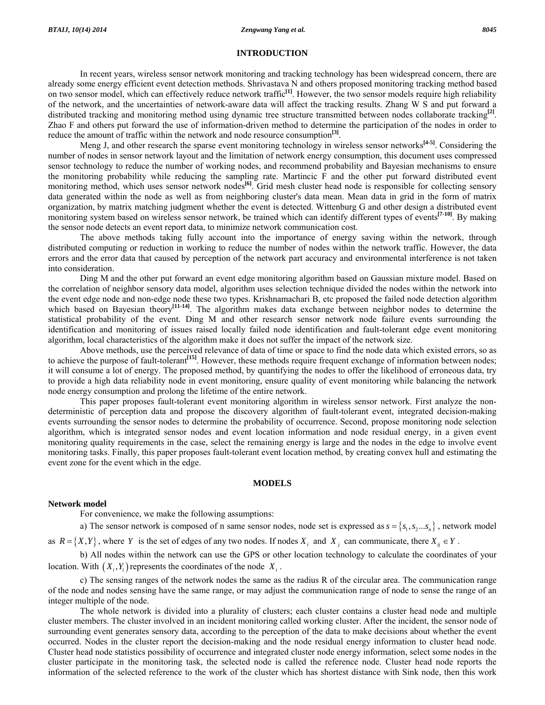### **INTRODUCTION**

 In recent years, wireless sensor network monitoring and tracking technology has been widespread concern, there are already some energy efficient event detection methods. Shrivastava N and others proposed monitoring tracking method based on two sensor model, which can effectively reduce network traffic**[1]**. However, the two sensor models require high reliability of the network, and the uncertainties of network-aware data will affect the tracking results. Zhang W S and put forward a distributed tracking and monitoring method using dynamic tree structure transmitted between nodes collaborate tracking**[2]**. Zhao F and others put forward the use of information-driven method to determine the participation of the nodes in order to reduce the amount of traffic within the network and node resource consumption**[3]**.

 Meng J, and other research the sparse event monitoring technology in wireless sensor networks**[4-5]**. Considering the number of nodes in sensor network layout and the limitation of network energy consumption, this document uses compressed sensor technology to reduce the number of working nodes, and recommend probability and Bayesian mechanisms to ensure the monitoring probability while reducing the sampling rate. Martincic F and the other put forward distributed event monitoring method, which uses sensor network nodes<sup>[6]</sup>. Grid mesh cluster head node is responsible for collecting sensory data generated within the node as well as from neighboring cluster's data mean. Mean data in grid in the form of matrix organization, by matrix matching judgment whether the event is detected. Wittenburg G and other design a distributed event monitoring system based on wireless sensor network, be trained which can identify different types of events**[7-10]**. By making the sensor node detects an event report data, to minimize network communication cost.

 The above methods taking fully account into the importance of energy saving within the network, through distributed computing or reduction in working to reduce the number of nodes within the network traffic. However, the data errors and the error data that caused by perception of the network part accuracy and environmental interference is not taken into consideration.

 Ding M and the other put forward an event edge monitoring algorithm based on Gaussian mixture model. Based on the correlation of neighbor sensory data model, algorithm uses selection technique divided the nodes within the network into the event edge node and non-edge node these two types. Krishnamachari B, etc proposed the failed node detection algorithm which based on Bayesian theory<sup>[11-14]</sup>. The algorithm makes data exchange between neighbor nodes to determine the statistical probability of the event. Ding M and other research sensor network node failure events surrounding the identification and monitoring of issues raised locally failed node identification and fault-tolerant edge event monitoring algorithm, local characteristics of the algorithm make it does not suffer the impact of the network size.

 Above methods, use the perceived relevance of data of time or space to find the node data which existed errors, so as to achieve the purpose of fault-tolerant<sup>[15]</sup>. However, these methods require frequent exchange of information between nodes; it will consume a lot of energy. The proposed method, by quantifying the nodes to offer the likelihood of erroneous data, try to provide a high data reliability node in event monitoring, ensure quality of event monitoring while balancing the network node energy consumption and prolong the lifetime of the entire network.

 This paper proposes fault-tolerant event monitoring algorithm in wireless sensor network. First analyze the nondeterministic of perception data and propose the discovery algorithm of fault-tolerant event, integrated decision-making events surrounding the sensor nodes to determine the probability of occurrence. Second, propose monitoring node selection algorithm, which is integrated sensor nodes and event location information and node residual energy, in a given event monitoring quality requirements in the case, select the remaining energy is large and the nodes in the edge to involve event monitoring tasks. Finally, this paper proposes fault-tolerant event location method, by creating convex hull and estimating the event zone for the event which in the edge.

### **MODELS**

### **Network model**

For convenience, we make the following assumptions:

a) The sensor network is composed of n same sensor nodes, node set is expressed as  $s = \{s_1, s_2...s_n\}$ , network model

as  $R = \{X, Y\}$ , where *Y* is the set of edges of any two nodes. If nodes  $X_i$  and  $X_j$  can communicate, there  $X_{ij} \in Y$ .

 b) All nodes within the network can use the GPS or other location technology to calculate the coordinates of your location. With  $(X_i, Y_i)$  represents the coordinates of the node  $X_i$ .

 c) The sensing ranges of the network nodes the same as the radius R of the circular area. The communication range of the node and nodes sensing have the same range, or may adjust the communication range of node to sense the range of an integer multiple of the node.

 The whole network is divided into a plurality of clusters; each cluster contains a cluster head node and multiple cluster members. The cluster involved in an incident monitoring called working cluster. After the incident, the sensor node of surrounding event generates sensory data, according to the perception of the data to make decisions about whether the event occurred. Nodes in the cluster report the decision-making and the node residual energy information to cluster head node. Cluster head node statistics possibility of occurrence and integrated cluster node energy information, select some nodes in the cluster participate in the monitoring task, the selected node is called the reference node. Cluster head node reports the information of the selected reference to the work of the cluster which has shortest distance with Sink node, then this work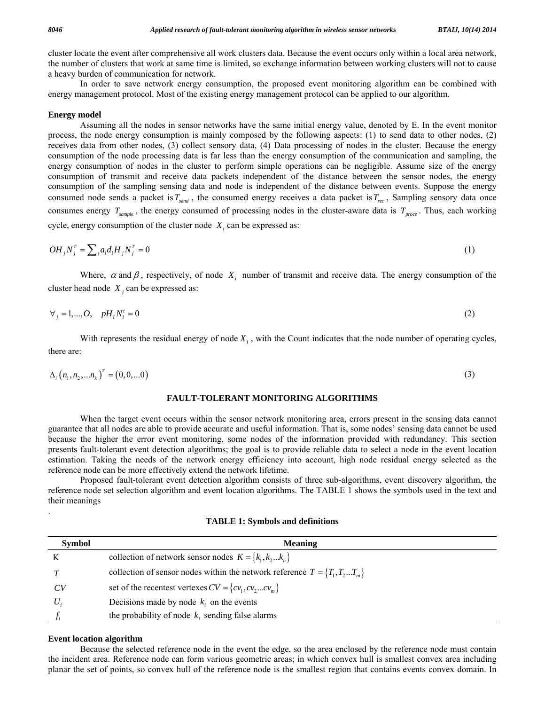cluster locate the event after comprehensive all work clusters data. Because the event occurs only within a local area network, the number of clusters that work at same time is limited, so exchange information between working clusters will not to cause a heavy burden of communication for network.

 In order to save network energy consumption, the proposed event monitoring algorithm can be combined with energy management protocol. Most of the existing energy management protocol can be applied to our algorithm.

#### **Energy model**

 Assuming all the nodes in sensor networks have the same initial energy value, denoted by E. In the event monitor process, the node energy consumption is mainly composed by the following aspects: (1) to send data to other nodes, (2) receives data from other nodes, (3) collect sensory data, (4) Data processing of nodes in the cluster. Because the energy consumption of the node processing data is far less than the energy consumption of the communication and sampling, the energy consumption of nodes in the cluster to perform simple operations can be negligible. Assume size of the energy consumption of transmit and receive data packets independent of the distance between the sensor nodes, the energy consumption of the sampling sensing data and node is independent of the distance between events. Suppose the energy consumed node sends a packet is  $T_{send}$ , the consumed energy receives a data packet is  $T_{rec}$ , Sampling sensory data once consumes energy  $T_{sample}$ , the energy consumed of processing nodes in the cluster-aware data is  $T_{proc}$ . Thus, each working cycle, energy consumption of the cluster node  $X_i$  can be expressed as:

$$
OH_j N_j^T = \sum_i a_i d_i H_j N_j^T = 0 \tag{1}
$$

Where,  $\alpha$  and  $\beta$ , respectively, of node  $X_i$  number of transmit and receive data. The energy consumption of the cluster head node  $X_i$  can be expressed as:

$$
\forall_j = 1, \dots, O, \quad pH_i N_i^t = 0 \tag{2}
$$

With represents the residual energy of node  $X_i$ , with the Count indicates that the node number of operating cycles, there are:

$$
\Delta_i (n_1, n_2, ... n_k)^T = (0, 0, ... 0)
$$
\n(3)

## **FAULT-TOLERANT MONITORING ALGORITHMS**

 When the target event occurs within the sensor network monitoring area, errors present in the sensing data cannot guarantee that all nodes are able to provide accurate and useful information. That is, some nodes' sensing data cannot be used because the higher the error event monitoring, some nodes of the information provided with redundancy. This section presents fault-tolerant event detection algorithms; the goal is to provide reliable data to select a node in the event location estimation. Taking the needs of the network energy efficiency into account, high node residual energy selected as the reference node can be more effectively extend the network lifetime.

 Proposed fault-tolerant event detection algorithm consists of three sub-algorithms, event discovery algorithm, the reference node set selection algorithm and event location algorithms. The TABLE 1 shows the symbols used in the text and their meanings

| <b>TABLE 1: Symbols and definitions</b> |
|-----------------------------------------|
|-----------------------------------------|

| <b>Symbol</b> | <b>Meaning</b>                                                                         |
|---------------|----------------------------------------------------------------------------------------|
|               | collection of network sensor nodes $K = \{k_1, k_2k_n\}$                               |
|               | collection of sensor nodes within the network reference $T = \{T_1, T_2, \dots, T_m\}$ |
| CV            | set of the recentest vertexes $CV = \{cv_1, cv_2cv_m\}$                                |
|               | Decisions made by node $k_i$ , on the events                                           |
|               | the probability of node $k_i$ sending false alarms                                     |

#### **Event location algorithm**

.

 Because the selected reference node in the event the edge, so the area enclosed by the reference node must contain the incident area. Reference node can form various geometric areas; in which convex hull is smallest convex area including planar the set of points, so convex hull of the reference node is the smallest region that contains events convex domain. In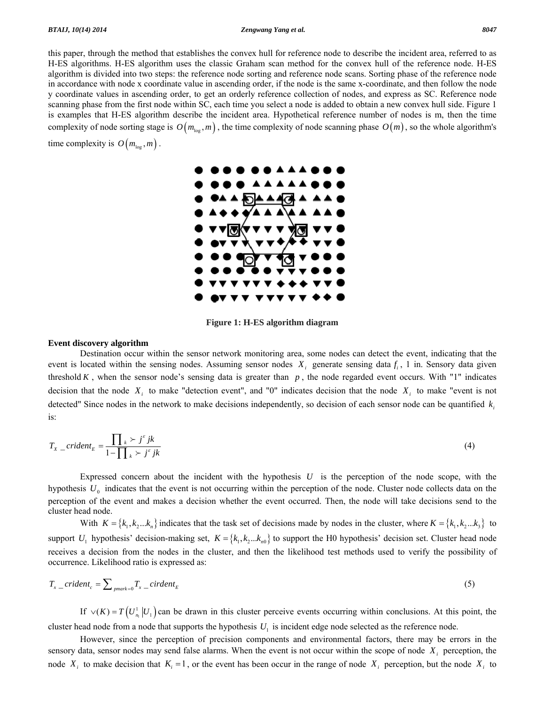#### *BTAIJ, 10(14) 2014 Zengwang Yang et al. 8047*

this paper, through the method that establishes the convex hull for reference node to describe the incident area, referred to as H-ES algorithms. H-ES algorithm uses the classic Graham scan method for the convex hull of the reference node. H-ES algorithm is divided into two steps: the reference node sorting and reference node scans. Sorting phase of the reference node in accordance with node x coordinate value in ascending order, if the node is the same x-coordinate, and then follow the node y coordinate values in ascending order, to get an orderly reference collection of nodes, and express as SC. Reference node scanning phase from the first node within SC, each time you select a node is added to obtain a new convex hull side. Figure 1 is examples that H-ES algorithm describe the incident area. Hypothetical reference number of nodes is m, then the time complexity of node sorting stage is  $O(m_{\text{low}}, m)$ , the time complexity of node scanning phase  $O(m)$ , so the whole algorithm's time complexity is  $O(m_{\text{log}}^2, m)$ .



**Figure 1: H-ES algorithm diagram** 

# **Event discovery algorithm**

 Destination occur within the sensor network monitoring area, some nodes can detect the event, indicating that the event is located within the sensing nodes. Assuming sensor nodes  $X_i$  generate sensing data  $f_i$ , 1 in. Sensory data given threshold  $K$ , when the sensor node's sensing data is greater than  $p$ , the node regarded event occurs. With "1" indicates decision that the node  $X_i$  to make "detection event", and "0" indicates decision that the node  $X_i$  to make "event is not detected" Since nodes in the network to make decisions independently, so decision of each sensor node can be quantified  $k<sub>i</sub>$ is:

$$
T_{X\_crident_E} = \frac{\prod_{k} \succ j^{\epsilon}jk}{1 - \prod_{k} \succ j^{\epsilon}jk}
$$
\n<sup>(4)</sup>

 Expressed concern about the incident with the hypothesis *U* is the perception of the node scope, with the hypothesis  $U_0$  indicates that the event is not occurring within the perception of the node. Cluster node collects data on the perception of the event and makes a decision whether the event occurred. Then, the node will take decisions send to the cluster head node.

With  $K = \{k_1, k_2...k_n\}$  indicates that the task set of decisions made by nodes in the cluster, where  $K = \{k_1, k_2...k_3\}$  to support  $U_1$  hypothesis' decision-making set,  $K = \{k_1, k_2...k_m\}$  to support the H0 hypothesis' decision set. Cluster head node receives a decision from the nodes in the cluster, and then the likelihood test methods used to verify the possibility of occurrence. Likelihood ratio is expressed as:

$$
T_{x\_crident_c} = \sum_{\text{pmark}=0} T_{x\_cirdent_E} \tag{5}
$$

If  $\vee$ (*K*) = *T*( $U_{n_1}^1 | U_1$ ) can be drawn in this cluster perceive events occurring within conclusions. At this point, the cluster head node from a node that supports the hypothesis  $U_1$  is incident edge node selected as the reference node.

 However, since the perception of precision components and environmental factors, there may be errors in the sensory data, sensor nodes may send false alarms. When the event is not occur within the scope of node  $X_i$  perception, the node  $X_i$  to make decision that  $K_i = 1$ , or the event has been occur in the range of node  $X_i$  perception, but the node  $X_i$  to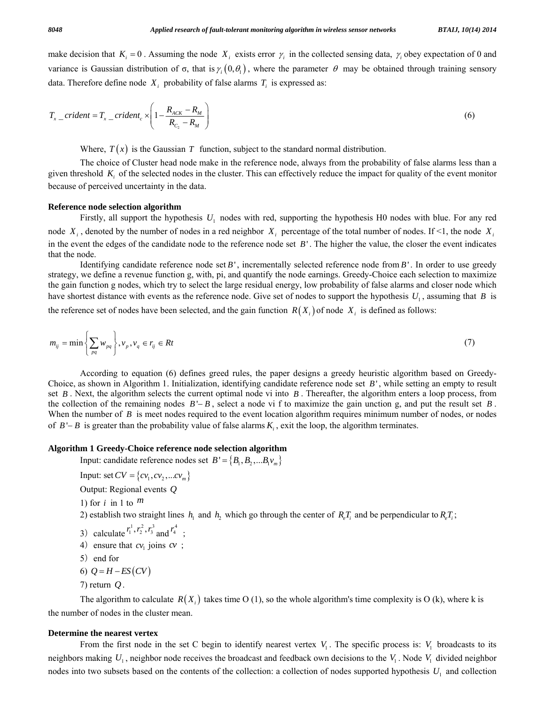make decision that  $K_i = 0$ . Assuming the node  $X_i$  exists error  $\gamma_i$  in the collected sensing data,  $\gamma_i$  obey expectation of 0 and variance is Gaussian distribution of σ, that is  $\gamma_i(0, \theta_1)$ , where the parameter θ may be obtained through training sensory data. Therefore define node  $X_i$  probability of false alarms  $T_i$  is expressed as:

$$
T_{x\_crident} = T_{x\_crident_c} \times \left(1 - \frac{R_{ACK} - R_M}{R_{C_2} - R_M}\right)
$$
 (6)

Where,  $T(x)$  is the Gaussian T function, subject to the standard normal distribution.

 The choice of Cluster head node make in the reference node, always from the probability of false alarms less than a given threshold *Ki* of the selected nodes in the cluster. This can effectively reduce the impact for quality of the event monitor because of perceived uncertainty in the data.

### **Reference node selection algorithm**

 Firstly, all support the hypothesis *U*1 nodes with red, supporting the hypothesis H0 nodes with blue. For any red node  $X_i$ , denoted by the number of nodes in a red neighbor  $X_i$  percentage of the total number of nodes. If <1, the node  $X_i$ in the event the edges of the candidate node to the reference node set *B*' . The higher the value, the closer the event indicates that the node.

 Identifying candidate reference node set *B*' , incrementally selected reference node from *B*' . In order to use greedy strategy, we define a revenue function g, with, pi, and quantify the node earnings. Greedy-Choice each selection to maximize the gain function g nodes, which try to select the large residual energy, low probability of false alarms and closer node which have shortest distance with events as the reference node. Give set of nodes to support the hypothesis  $U_1$ , assuming that *B* is

the reference set of nodes have been selected, and the gain function  $R(X_i)$  of node  $X_i$  is defined as follows:

$$
m_{ij} = \min\left\{\sum_{pq} w_{pq}\right\}, \quad\nu_p, \quad\nu_q \in r_{ij} \in Rt \tag{7}
$$

 According to equation (6) defines greed rules, the paper designs a greedy heuristic algorithm based on Greedy-Choice, as shown in Algorithm 1. Initialization, identifying candidate reference node set *B*' , while setting an empty to result set *B* . Next, the algorithm selects the current optimal node vi into *B* . Thereafter, the algorithm enters a loop process, from the collection of the remaining nodes *B* '− *B* , select a node vi f to maximize the gain unction g, and put the result set *B* . When the number of *B* is meet nodes required to the event location algorithm requires minimum number of nodes, or nodes of  $B'-B$  is greater than the probability value of false alarms  $K_i$ , exit the loop, the algorithm terminates.

## **Algorithm 1 Greedy-Choice reference node selection algorithm**

Input: candidate reference nodes set  $B' = \{B_1, B_2, \dots B_1v_m\}$ 

- Input: set  $CV = \{cv_1, cv_2, ...cv_m\}$
- Output: Regional events *Q*
- 1) for *i* in 1 to *m*

2) establish two straight lines  $h_1$  and  $h_2$  which go through the center of  $R_eT_i$  and be perpendicular to  $R_eT_i$ ;

- 3) calculate  $r_1^1, r_2^2, r_3^3$  and  $r_4^4$ ;
	- 4) ensure that  $cv_1$  joins  $cv$ ;

$$
5) \quad end for
$$

$$
6) Q = H - ES(CV)
$$

7) return *Q* .

The algorithm to calculate  $R(X<sub>i</sub>)$  takes time O (1), so the whole algorithm's time complexity is O (k), where k is the number of nodes in the cluster mean.

#### **Determine the nearest vertex**

From the first node in the set C begin to identify nearest vertex  $V_1$ . The specific process is:  $V_1$  broadcasts to its neighbors making  $U_1$ , neighbor node receives the broadcast and feedback own decisions to the  $V_1$ . Node  $V_1$  divided neighbor nodes into two subsets based on the contents of the collection: a collection of nodes supported hypothesis  $U_1$  and collection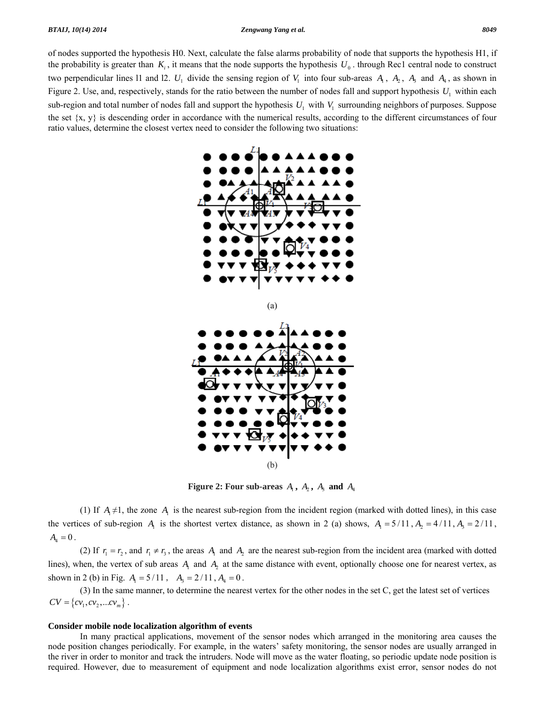#### *BTAIJ, 10(14) 2014 Zengwang Yang et al. 8049*

of nodes supported the hypothesis H0. Next, calculate the false alarms probability of node that supports the hypothesis H1, if the probability is greater than  $K_i$ , it means that the node supports the hypothesis  $U_0$ . through Rec1 central node to construct two perpendicular lines 11 and 12.  $U_1$  divide the sensing region of  $V_1$  into four sub-areas  $A_1$ ,  $A_2$ ,  $A_3$  and  $A_4$ , as shown in Figure 2. Use, and, respectively, stands for the ratio between the number of nodes fall and support hypothesis  $U_1$  within each sub-region and total number of nodes fall and support the hypothesis  $U_1$  with  $V_1$  surrounding neighbors of purposes. Suppose the set  $\{x, y\}$  is descending order in accordance with the numerical results, according to the different circumstances of four ratio values, determine the closest vertex need to consider the following two situations:



**Figure 2: Four sub-areas**  $A_1$ ,  $A_2$ ,  $A_3$  and  $A_4$ 

(1) If  $A_1 \neq 1$ , the zone  $A_1$  is the nearest sub-region from the incident region (marked with dotted lines), in this case the vertices of sub-region  $A_1$  is the shortest vertex distance, as shown in 2 (a) shows,  $A_1 = 5/11$ ,  $A_2 = 4/11$ ,  $A_3 = 2/11$ ,  $A_4 = 0$ .

(2) If  $r_1 = r_2$ , and  $r_1 \neq r_3$ , the areas  $A_1$  and  $A_2$  are the nearest sub-region from the incident area (marked with dotted lines), when, the vertex of sub areas  $A_1$  and  $A_2$  at the same distance with event, optionally choose one for nearest vertex, as shown in 2 (b) in Fig.  $A_1 = 5/11$ ,  $A_2 = 2/11$ ,  $A_4 = 0$ .

 (3) In the same manner, to determine the nearest vertex for the other nodes in the set C, get the latest set of vertices  $CV = \{ cv_1, cv_2,...cv_m\}$ .

#### **Consider mobile node localization algorithm of events**

 In many practical applications, movement of the sensor nodes which arranged in the monitoring area causes the node position changes periodically. For example, in the waters' safety monitoring, the sensor nodes are usually arranged in the river in order to monitor and track the intruders. Node will move as the water floating, so periodic update node position is required. However, due to measurement of equipment and node localization algorithms exist error, sensor nodes do not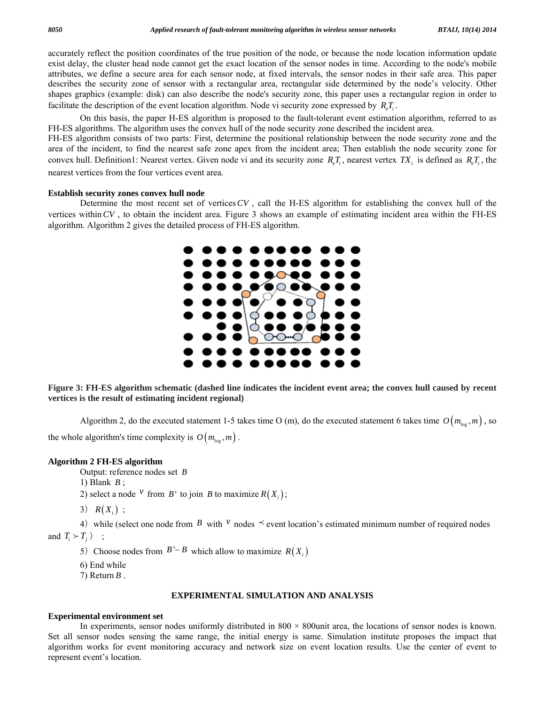accurately reflect the position coordinates of the true position of the node, or because the node location information update exist delay, the cluster head node cannot get the exact location of the sensor nodes in time. According to the node's mobile attributes, we define a secure area for each sensor node, at fixed intervals, the sensor nodes in their safe area. This paper describes the security zone of sensor with a rectangular area, rectangular side determined by the node's velocity. Other shapes graphics (example: disk) can also describe the node's security zone, this paper uses a rectangular region in order to facilitate the description of the event location algorithm. Node vi security zone expressed by  $R_{e}T_{i}$ .

 On this basis, the paper H-ES algorithm is proposed to the fault-tolerant event estimation algorithm, referred to as FH-ES algorithms. The algorithm uses the convex hull of the node security zone described the incident area.

FH-ES algorithm consists of two parts: First, determine the positional relationship between the node security zone and the area of the incident, to find the nearest safe zone apex from the incident area; Then establish the node security zone for convex hull. Definition1: Nearest vertex. Given node vi and its security zone  $R_s T_i$ , nearest vertex *TX<sub>i</sub>* is defined as  $R_s T_i$ , the nearest vertices from the four vertices event area.

#### **Establish security zones convex hull node**

 Determine the most recent set of vertices*CV* , call the H-ES algorithm for establishing the convex hull of the vertices within*CV* , to obtain the incident area. Figure 3 shows an example of estimating incident area within the FH-ES algorithm. Algorithm 2 gives the detailed process of FH-ES algorithm.



**Figure 3: FH-ES algorithm schematic (dashed line indicates the incident event area; the convex hull caused by recent vertices is the result of estimating incident regional)** 

Algorithm 2, do the executed statement 1-5 takes time O (m), do the executed statement 6 takes time  $O(m_{\log}, m)$ , so

the whole algorithm's time complexity is  $O(m_{\text{log}}^2, m)$ .

### **Algorithm 2 FH-ES algorithm**

Output: reference nodes set *B*

1) Blank *B* ;

2) select a node <sup>*v*</sup> from *B*<sup>'</sup> to join *B* to maximize  $R(X_i)$ ;

3)  $R(X_i)$ ;

4) while (select one node from *B* with  $v$  nodes  $\prec$  event location's estimated minimum number of required nodes and  $T_i \succ T_j$  ;

5) Choose nodes from  $B'-B$  which allow to maximize  $R(X_i)$ 

6) End while

7) Return *B* .

#### **EXPERIMENTAL SIMULATION AND ANALYSIS**

### **Experimental environment set**

In experiments, sensor nodes uniformly distributed in  $800 \times 800$  unit area, the locations of sensor nodes is known. Set all sensor nodes sensing the same range, the initial energy is same. Simulation institute proposes the impact that algorithm works for event monitoring accuracy and network size on event location results. Use the center of event to represent event's location.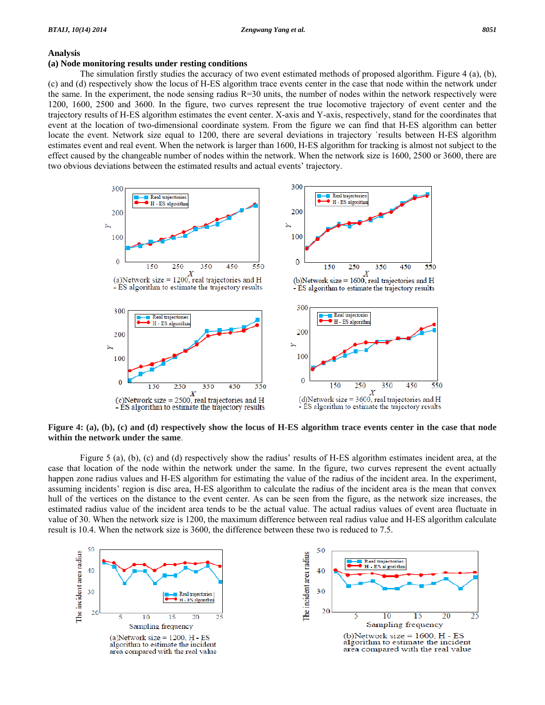#### **Analysis**

# **(a) Node monitoring results under resting conditions**

 The simulation firstly studies the accuracy of two event estimated methods of proposed algorithm. Figure 4 (a), (b), (c) and (d) respectively show the locus of H-ES algorithm trace events center in the case that node within the network under the same. In the experiment, the node sensing radius  $R=30$  units, the number of nodes within the network respectively were 1200, 1600, 2500 and 3600. In the figure, two curves represent the true locomotive trajectory of event center and the trajectory results of H-ES algorithm estimates the event center. X-axis and Y-axis, respectively, stand for the coordinates that event at the location of two-dimensional coordinate system. From the figure we can find that H-ES algorithm can better locate the event. Network size equal to 1200, there are several deviations in trajectory `results between H-ES algorithm estimates event and real event. When the network is larger than 1600, H-ES algorithm for tracking is almost not subject to the effect caused by the changeable number of nodes within the network. When the network size is 1600, 2500 or 3600, there are two obvious deviations between the estimated results and actual events' trajectory.



**Figure 4: (a), (b), (c) and (d) respectively show the locus of H-ES algorithm trace events center in the case that node within the network under the same**.

 Figure 5 (a), (b), (c) and (d) respectively show the radius' results of H-ES algorithm estimates incident area, at the case that location of the node within the network under the same. In the figure, two curves represent the event actually happen zone radius values and H-ES algorithm for estimating the value of the radius of the incident area. In the experiment, assuming incidents' region is disc area, H-ES algorithm to calculate the radius of the incident area is the mean that convex hull of the vertices on the distance to the event center. As can be seen from the figure, as the network size increases, the estimated radius value of the incident area tends to be the actual value. The actual radius values of event area fluctuate in value of 30. When the network size is 1200, the maximum difference between real radius value and H-ES algorithm calculate result is 10.4. When the network size is 3600, the difference between these two is reduced to 7.5.

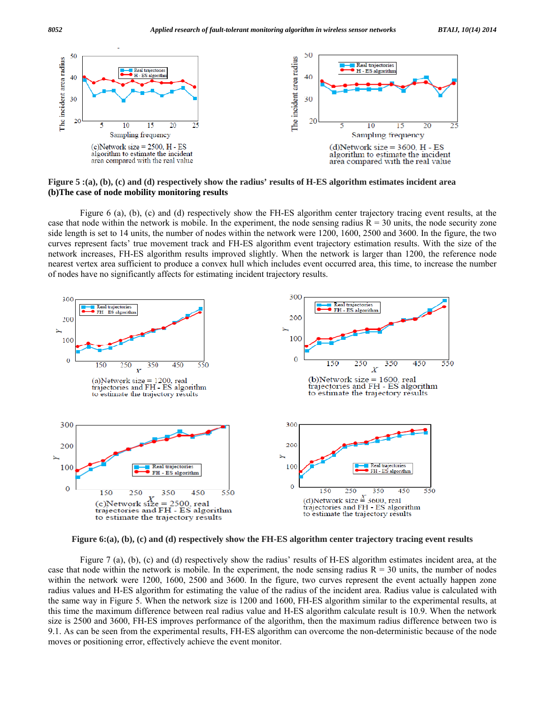

**Figure 5 :(a), (b), (c) and (d) respectively show the radius' results of H-ES algorithm estimates incident area (b)The case of node mobility monitoring results** 

 Figure 6 (a), (b), (c) and (d) respectively show the FH-ES algorithm center trajectory tracing event results, at the case that node within the network is mobile. In the experiment, the node sensing radius  $R = 30$  units, the node security zone side length is set to 14 units, the number of nodes within the network were 1200, 1600, 2500 and 3600. In the figure, the two curves represent facts' true movement track and FH-ES algorithm event trajectory estimation results. With the size of the network increases, FH-ES algorithm results improved slightly. When the network is larger than 1200, the reference node nearest vertex area sufficient to produce a convex hull which includes event occurred area, this time, to increase the number of nodes have no significantly affects for estimating incident trajectory results.



**Figure 6:(a), (b), (c) and (d) respectively show the FH-ES algorithm center trajectory tracing event results** 

 Figure 7 (a), (b), (c) and (d) respectively show the radius' results of H-ES algorithm estimates incident area, at the case that node within the network is mobile. In the experiment, the node sensing radius  $R = 30$  units, the number of nodes within the network were 1200, 1600, 2500 and 3600. In the figure, two curves represent the event actually happen zone radius values and H-ES algorithm for estimating the value of the radius of the incident area. Radius value is calculated with the same way in Figure 5. When the network size is 1200 and 1600, FH-ES algorithm similar to the experimental results, at this time the maximum difference between real radius value and H-ES algorithm calculate result is 10.9. When the network size is 2500 and 3600, FH-ES improves performance of the algorithm, then the maximum radius difference between two is 9.1. As can be seen from the experimental results, FH-ES algorithm can overcome the non-deterministic because of the node moves or positioning error, effectively achieve the event monitor.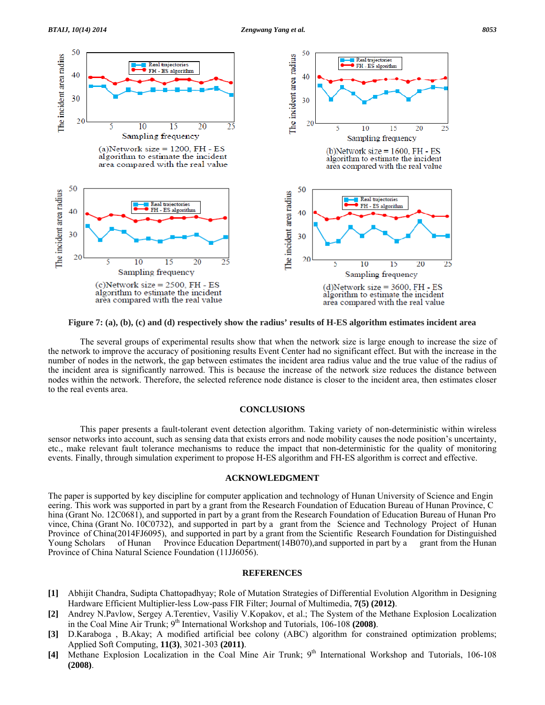

**Figure 7: (a), (b), (c) and (d) respectively show the radius' results of H-ES algorithm estimates incident area** 

 The several groups of experimental results show that when the network size is large enough to increase the size of the network to improve the accuracy of positioning results Event Center had no significant effect. But with the increase in the number of nodes in the network, the gap between estimates the incident area radius value and the true value of the radius of the incident area is significantly narrowed. This is because the increase of the network size reduces the distance between nodes within the network. Therefore, the selected reference node distance is closer to the incident area, then estimates closer to the real events area.

#### **CONCLUSIONS**

 This paper presents a fault-tolerant event detection algorithm. Taking variety of non-deterministic within wireless sensor networks into account, such as sensing data that exists errors and node mobility causes the node position's uncertainty, etc., make relevant fault tolerance mechanisms to reduce the impact that non-deterministic for the quality of monitoring events. Finally, through simulation experiment to propose H-ES algorithm and FH-ES algorithm is correct and effective.

#### **ACKNOWLEDGMENT**

The paper is supported by key discipline for computer application and technology of Hunan University of Science and Engin eering. This work was supported in part by a grant from the Research Foundation of Education Bureau of Hunan Province, C hina (Grant No. 12C0681), and supported in part by a grant from the Research Foundation of Education Bureau of Hunan Pro vince, China (Grant No. 10C0732), and supported in part by a grant from the Science and Technology Project of Hunan Province of China(2014FJ6095), and supported in part by a grant from the Scientific Research Foundation for Distinguished Young Scholars of Hunan Province Education Department(14B070),and supported in part by a grant from the Hunan Province of China Natural Science Foundation (11JJ6056).

## **REFERENCES**

- **[1]** Abhijit Chandra, Sudipta Chattopadhyay; Role of Mutation Strategies of Differential Evolution Algorithm in Designing Hardware Efficient Multiplier-less Low-pass FIR Filter; Journal of Multimedia, **7(5) (2012)**.
- **[2]** Andrey N.Pavlow, Sergey A.Terentiev, Vasiliy V.Kopakov, et al.; The System of the Methane Explosion Localization in the Coal Mine Air Trunk; 9<sup>th</sup> International Workshop and Tutorials, 106-108 **(2008)**.
- **[3]** D.Karaboga , B.Akay; A modified artificial bee colony (ABC) algorithm for constrained optimization problems; Applied Soft Computing, **11(3)**, 3021-303 **(2011)**.
- [4] Methane Explosion Localization in the Coal Mine Air Trunk; 9<sup>th</sup> International Workshop and Tutorials, 106-108 **(2008)**.